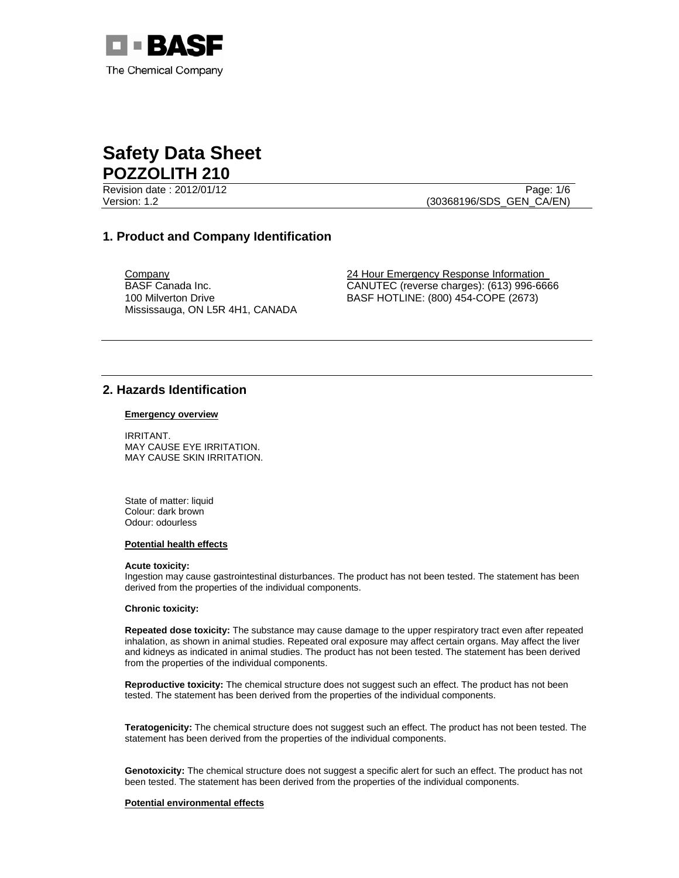

Revision date : 2012/01/12 Page: 1/6

Version: 1.2 (30368196/SDS\_GEN\_CA/EN)

# **1. Product and Company Identification**

BASF Canada Inc. 100 Milverton Drive Mississauga, ON L5R 4H1, CANADA

**Company 24 Hour Emergency Response Information** CANUTEC (reverse charges): (613) 996-6666 BASF HOTLINE: (800) 454-COPE (2673)

# **2. Hazards Identification**

#### **Emergency overview**

IRRITANT. MAY CAUSE EYE IRRITATION. MAY CAUSE SKIN IRRITATION.

State of matter: liquid Colour: dark brown Odour: odourless

#### **Potential health effects**

#### **Acute toxicity:**

Ingestion may cause gastrointestinal disturbances. The product has not been tested. The statement has been derived from the properties of the individual components.

## **Chronic toxicity:**

**Repeated dose toxicity:** The substance may cause damage to the upper respiratory tract even after repeated inhalation, as shown in animal studies. Repeated oral exposure may affect certain organs. May affect the liver and kidneys as indicated in animal studies. The product has not been tested. The statement has been derived from the properties of the individual components.

**Reproductive toxicity:** The chemical structure does not suggest such an effect. The product has not been tested. The statement has been derived from the properties of the individual components.

**Teratogenicity:** The chemical structure does not suggest such an effect. The product has not been tested. The statement has been derived from the properties of the individual components.

**Genotoxicity:** The chemical structure does not suggest a specific alert for such an effect. The product has not been tested. The statement has been derived from the properties of the individual components.

### **Potential environmental effects**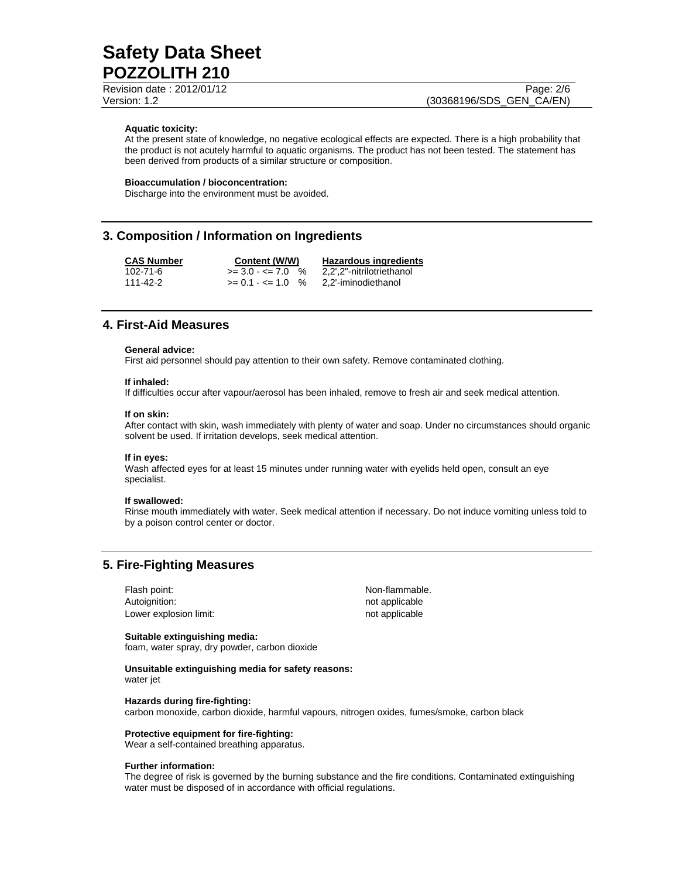Revision date : 2012/01/12 Page: 2/6

Version: 1.2 (30368196/SDS\_GEN\_CA/EN)

## **Aquatic toxicity:**

At the present state of knowledge, no negative ecological effects are expected. There is a high probability that the product is not acutely harmful to aquatic organisms. The product has not been tested. The statement has been derived from products of a similar structure or composition.

#### **Bioaccumulation / bioconcentration:**

Discharge into the environment must be avoided.

# **3. Composition / Information on Ingredients**

**CAS Number Content (W/W) Hazardous ingredients** 102-71-6  $>= 3.0 - 5 = 7.0$  %  $2,2$ , 2"-nitrilotriethanol 111-42-2 >= 0.1 - <= 1.0 % 2,2'-iminodiethanol

# **4. First-Aid Measures**

#### **General advice:**

First aid personnel should pay attention to their own safety. Remove contaminated clothing.

#### **If inhaled:**

If difficulties occur after vapour/aerosol has been inhaled, remove to fresh air and seek medical attention.

#### **If on skin:**

After contact with skin, wash immediately with plenty of water and soap. Under no circumstances should organic solvent be used. If irritation develops, seek medical attention.

#### **If in eyes:**

Wash affected eyes for at least 15 minutes under running water with eyelids held open, consult an eye specialist.

### **If swallowed:**

Rinse mouth immediately with water. Seek medical attention if necessary. Do not induce vomiting unless told to by a poison control center or doctor.

# **5. Fire-Fighting Measures**

Flash point: Non-flammable. Autoignition: not applicable Lower explosion limit:  $\qquad \qquad \qquad$  not applicable

# **Suitable extinguishing media:**

foam, water spray, dry powder, carbon dioxide

**Unsuitable extinguishing media for safety reasons:**  water jet

#### **Hazards during fire-fighting:**

carbon monoxide, carbon dioxide, harmful vapours, nitrogen oxides, fumes/smoke, carbon black

## **Protective equipment for fire-fighting:**

Wear a self-contained breathing apparatus.

#### **Further information:**

The degree of risk is governed by the burning substance and the fire conditions. Contaminated extinguishing water must be disposed of in accordance with official regulations.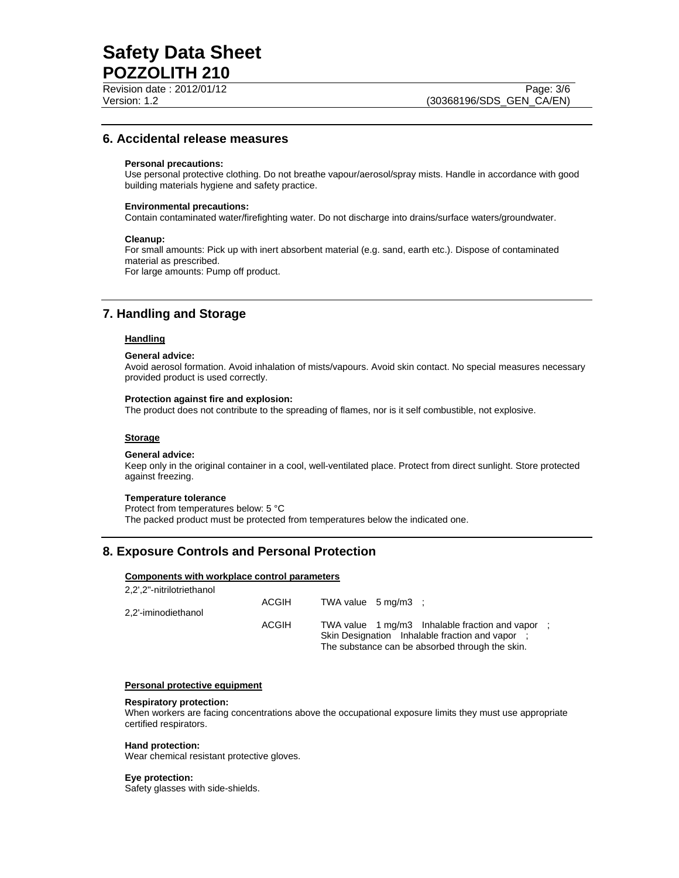# **6. Accidental release measures**

## **Personal precautions:**

Use personal protective clothing. Do not breathe vapour/aerosol/spray mists. Handle in accordance with good building materials hygiene and safety practice.

#### **Environmental precautions:**

Contain contaminated water/firefighting water. Do not discharge into drains/surface waters/groundwater.

#### **Cleanup:**

For small amounts: Pick up with inert absorbent material (e.g. sand, earth etc.). Dispose of contaminated material as prescribed. For large amounts: Pump off product.

# **7. Handling and Storage**

## **Handling**

#### **General advice:**

Avoid aerosol formation. Avoid inhalation of mists/vapours. Avoid skin contact. No special measures necessary provided product is used correctly.

#### **Protection against fire and explosion:**

The product does not contribute to the spreading of flames, nor is it self combustible, not explosive.

## **Storage**

#### **General advice:**

Keep only in the original container in a cool, well-ventilated place. Protect from direct sunlight. Store protected against freezing.

#### **Temperature tolerance**

Protect from temperatures below: 5 °C The packed product must be protected from temperatures below the indicated one.

# **8. Exposure Controls and Personal Protection**

## **Components with workplace control parameters**

| 2,2',2"-nitrilotriethanol |       |                               |                                                                                                                                                        |  |
|---------------------------|-------|-------------------------------|--------------------------------------------------------------------------------------------------------------------------------------------------------|--|
|                           | ACGIH | TWA value $5 \text{ mg/m3}$ : |                                                                                                                                                        |  |
| 2,2'-iminodiethanol       |       |                               |                                                                                                                                                        |  |
|                           | ACGIH |                               | TWA value 1 mg/m3 Inhalable fraction and vapor :<br>Skin Designation Inhalable fraction and vapor :<br>The substance can be absorbed through the skin. |  |

### **Personal protective equipment**

#### **Respiratory protection:**

When workers are facing concentrations above the occupational exposure limits they must use appropriate certified respirators.

#### **Hand protection:**

Wear chemical resistant protective gloves.

### **Eye protection:**

Safety glasses with side-shields.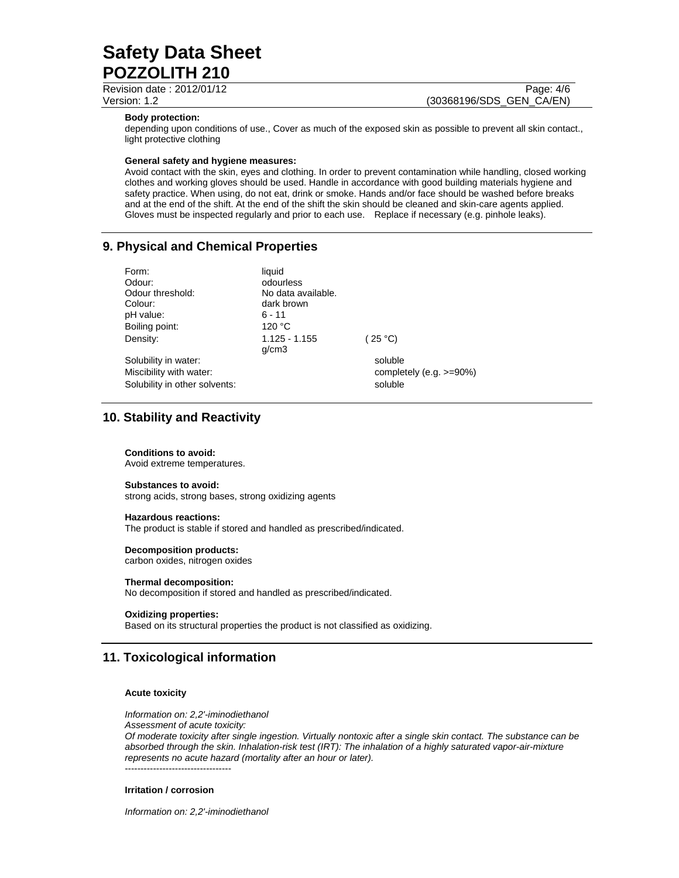Revision date : 2012/01/12 Page: 4/6

Version: 1.2 (30368196/SDS\_GEN\_CA/EN)

### **Body protection:**

depending upon conditions of use., Cover as much of the exposed skin as possible to prevent all skin contact., light protective clothing

#### **General safety and hygiene measures:**

Avoid contact with the skin, eyes and clothing. In order to prevent contamination while handling, closed working clothes and working gloves should be used. Handle in accordance with good building materials hygiene and safety practice. When using, do not eat, drink or smoke. Hands and/or face should be washed before breaks and at the end of the shift. At the end of the shift the skin should be cleaned and skin-care agents applied. Gloves must be inspected regularly and prior to each use. Replace if necessary (e.g. pinhole leaks).

# **9. Physical and Chemical Properties**

| Form:                         | liauid                   |                             |
|-------------------------------|--------------------------|-----------------------------|
| Odour:                        | odourless                |                             |
| Odour threshold:              | No data available.       |                             |
| Colour:                       | dark brown               |                             |
| pH value:                     | $6 - 11$                 |                             |
| Boiling point:                | 120 °C                   |                             |
| Density:                      | $1.125 - 1.155$<br>q/cm3 | (25 °C)                     |
| Solubility in water:          |                          | soluble                     |
| Miscibility with water:       |                          | completely (e.g. $>=90\%$ ) |
| Solubility in other solvents: |                          | soluble                     |

# **10. Stability and Reactivity**

## **Conditions to avoid:**

Avoid extreme temperatures.

## **Substances to avoid:**

strong acids, strong bases, strong oxidizing agents

## **Hazardous reactions:**

The product is stable if stored and handled as prescribed/indicated.

## **Decomposition products:**

carbon oxides, nitrogen oxides

# **Thermal decomposition:**

No decomposition if stored and handled as prescribed/indicated.

## **Oxidizing properties:**

Based on its structural properties the product is not classified as oxidizing.

# **11. Toxicological information**

## **Acute toxicity**

*Information on: 2,2'-iminodiethanol* 

*Assessment of acute toxicity:* 

*Of moderate toxicity after single ingestion. Virtually nontoxic after a single skin contact. The substance can be absorbed through the skin. Inhalation-risk test (IRT): The inhalation of a highly saturated vapor-air-mixture represents no acute hazard (mortality after an hour or later).*  ----------------------------------

## **Irritation / corrosion**

*Information on: 2,2'-iminodiethanol*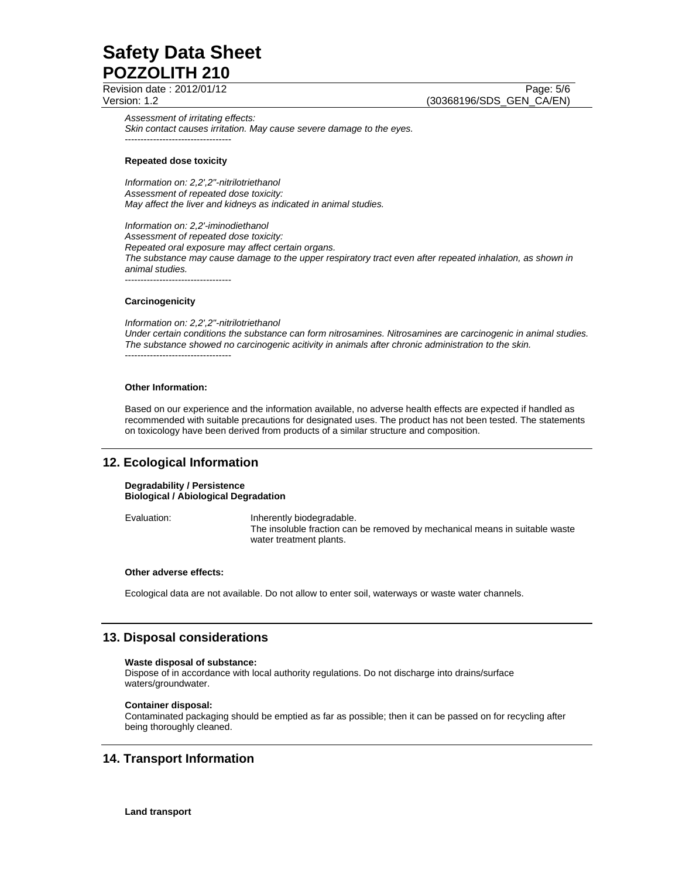Revision date : 2012/01/12 Page: 5/6

Version: 1.2 (30368196/SDS\_GEN\_CA/EN)

*Assessment of irritating effects: Skin contact causes irritation. May cause severe damage to the eyes.*  ----------------------------------

### **Repeated dose toxicity**

*Information on: 2,2',2"-nitrilotriethanol Assessment of repeated dose toxicity: May affect the liver and kidneys as indicated in animal studies.* 

*Information on: 2,2'-iminodiethanol Assessment of repeated dose toxicity: Repeated oral exposure may affect certain organs. The substance may cause damage to the upper respiratory tract even after repeated inhalation, as shown in animal studies.*  ----------------------------------

#### **Carcinogenicity**

*Information on: 2,2',2"-nitrilotriethanol Under certain conditions the substance can form nitrosamines. Nitrosamines are carcinogenic in animal studies. The substance showed no carcinogenic acitivity in animals after chronic administration to the skin.*  ----------------------------------

## **Other Information:**

Based on our experience and the information available, no adverse health effects are expected if handled as recommended with suitable precautions for designated uses. The product has not been tested. The statements on toxicology have been derived from products of a similar structure and composition.

# **12. Ecological Information**

**Degradability / Persistence Biological / Abiological Degradation**

Evaluation: Inherently biodegradable. The insoluble fraction can be removed by mechanical means in suitable waste water treatment plants.

#### **Other adverse effects:**

Ecological data are not available. Do not allow to enter soil, waterways or waste water channels.

# **13. Disposal considerations**

#### **Waste disposal of substance:**

Dispose of in accordance with local authority regulations. Do not discharge into drains/surface waters/groundwater.

## **Container disposal:**

Contaminated packaging should be emptied as far as possible; then it can be passed on for recycling after being thoroughly cleaned.

# **14. Transport Information**

**Land transport**